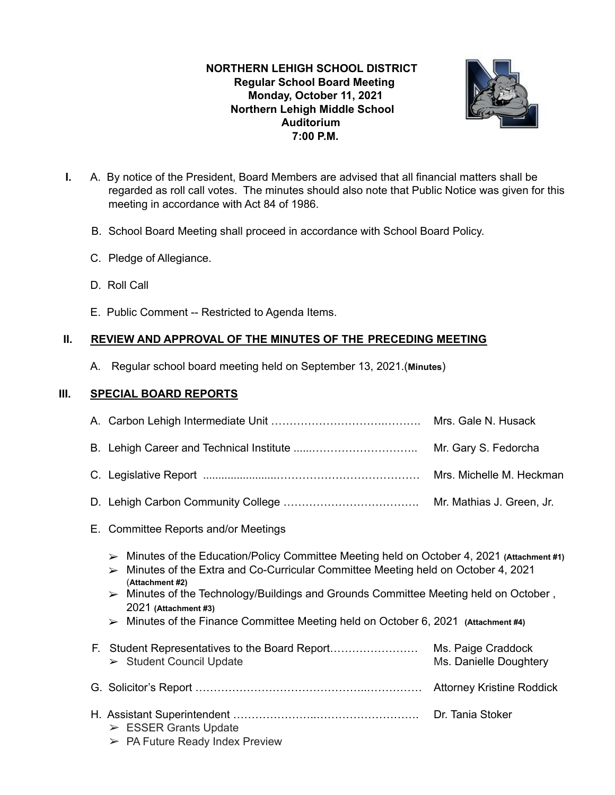## **NORTHERN LEHIGH SCHOOL DISTRICT Regular School Board Meeting Monday, October 11, 2021 Northern Lehigh Middle School Auditorium 7:00 P.M.**



- **I.** A. By notice of the President, Board Members are advised that all financial matters shall be regarded as roll call votes. The minutes should also note that Public Notice was given for this meeting in accordance with Act 84 of 1986.
	- B. School Board Meeting shall proceed in accordance with School Board Policy.
	- C. Pledge of Allegiance.
	- D. Roll Call
	- E. Public Comment -- Restricted to Agenda Items.

## **II. REVIEW AND APPROVAL OF THE MINUTES OF THE PRECEDING MEETING**

A. Regular school board meeting held on September 13, 2021.(**Minutes**)

## **III. SPECIAL BOARD REPORTS**

|                                                                                                                                                                                                                                                                                                                                                                                                                                                                                | Mrs. Gale N. Husack                          |
|--------------------------------------------------------------------------------------------------------------------------------------------------------------------------------------------------------------------------------------------------------------------------------------------------------------------------------------------------------------------------------------------------------------------------------------------------------------------------------|----------------------------------------------|
|                                                                                                                                                                                                                                                                                                                                                                                                                                                                                | Mr. Gary S. Fedorcha                         |
|                                                                                                                                                                                                                                                                                                                                                                                                                                                                                | Mrs. Michelle M. Heckman                     |
|                                                                                                                                                                                                                                                                                                                                                                                                                                                                                | Mr. Mathias J. Green, Jr.                    |
| E. Committee Reports and/or Meetings                                                                                                                                                                                                                                                                                                                                                                                                                                           |                                              |
| $\triangleright$ Minutes of the Education/Policy Committee Meeting held on October 4, 2021 (Attachment #1)<br>Minutes of the Extra and Co-Curricular Committee Meeting held on October 4, 2021<br>$\blacktriangleright$<br>(Attachment #2)<br>$\triangleright$ Minutes of the Technology/Buildings and Grounds Committee Meeting held on October,<br>2021 (Attachment #3)<br>$\triangleright$ Minutes of the Finance Committee Meeting held on October 6, 2021 (Attachment #4) |                                              |
| F. Student Representatives to the Board Report<br>$\triangleright$ Student Council Update                                                                                                                                                                                                                                                                                                                                                                                      | Ms. Paige Craddock<br>Ms. Danielle Doughtery |
|                                                                                                                                                                                                                                                                                                                                                                                                                                                                                |                                              |
| $\triangleright$ ESSER Grants Update<br>$\triangleright$ PA Future Ready Index Preview                                                                                                                                                                                                                                                                                                                                                                                         | Dr. Tania Stoker                             |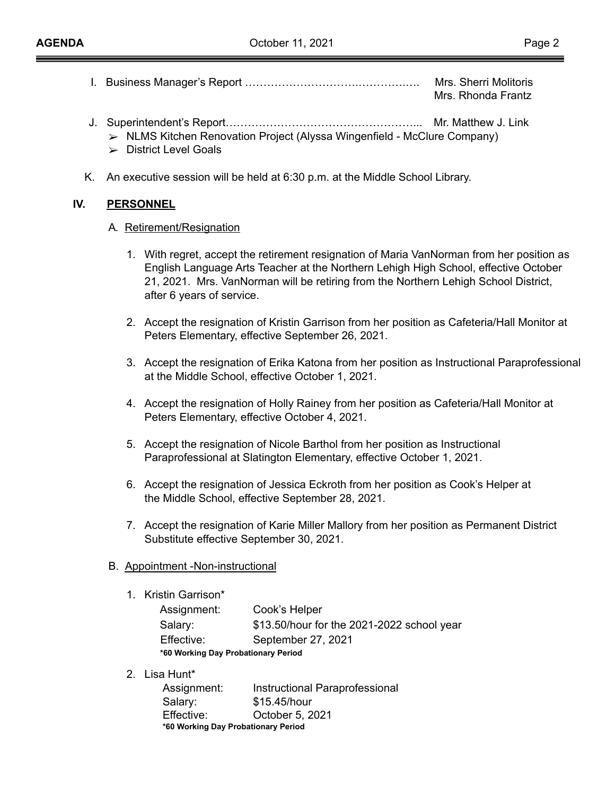- I. Business Manager's Report ………………………….………….…. Mrs. Sherri Molitoris Mrs. Rhonda Frantz
- J. Superintendent's Report……………………………………………... Mr. Matthew J. Link
	- ➢ NLMS Kitchen Renovation Project (Alyssa Wingenfield McClure Company)
	- $\triangleright$  District Level Goals
- K. An executive session will be held at 6:30 p.m. at the Middle School Library.

## **IV. PERSONNEL**

#### A**.** Retirement/Resignation

- 1. With regret, accept the retirement resignation of Maria VanNorman from her position as English Language Arts Teacher at the Northern Lehigh High School, effective October 21, 2021. Mrs. VanNorman will be retiring from the Northern Lehigh School District, after 6 years of service.
- 2. Accept the resignation of Kristin Garrison from her position as Cafeteria/Hall Monitor at Peters Elementary, effective September 26, 2021.
- 3. Accept the resignation of Erika Katona from her position as Instructional Paraprofessional at the Middle School, effective October 1, 2021.
- 4. Accept the resignation of Holly Rainey from her position as Cafeteria/Hall Monitor at Peters Elementary, effective October 4, 2021.
- 5. Accept the resignation of Nicole Barthol from her position as Instructional Paraprofessional at Slatington Elementary, effective October 1, 2021.
- 6. Accept the resignation of Jessica Eckroth from her position as Cook's Helper at the Middle School, effective September 28, 2021.
- 7. Accept the resignation of Karie Miller Mallory from her position as Permanent District Substitute effective September 30, 2021.

## B. Appointment -Non-instructional

1. Kristin Garrison\*

| Assignment:                         | Cook's Helper                              |  |  |
|-------------------------------------|--------------------------------------------|--|--|
| Salary:                             | \$13.50/hour for the 2021-2022 school year |  |  |
| Effective:                          | September 27, 2021                         |  |  |
| *60 Working Day Probationary Period |                                            |  |  |

2. Lisa Hunt\*

| Assignment:                         | Instructional Paraprofessional |  |  |
|-------------------------------------|--------------------------------|--|--|
| Salary:                             | \$15.45/hour                   |  |  |
| Effective:                          | October 5, 2021                |  |  |
| *60 Working Day Probationary Period |                                |  |  |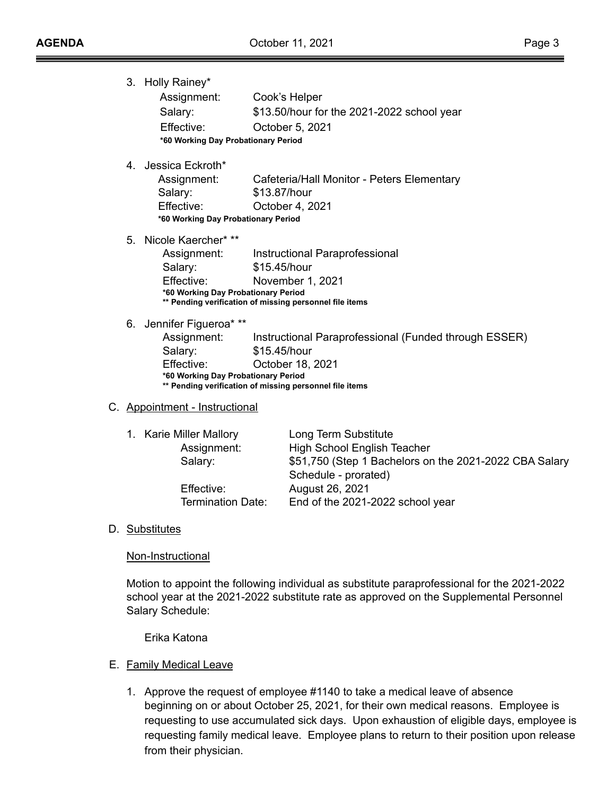3. Holly Rainey\* Assignment: Cook's Helper Salary: \$13.50/hour for the 2021-2022 school year Effective: October 5, 2021 **\*60 Working Day Probationary Period** 4. Jessica Eckroth\*

| Assignment:                         | Cafeteria/Hall Monitor - Peters Elementary |  |  |
|-------------------------------------|--------------------------------------------|--|--|
| Salary:                             | \$13.87/hour                               |  |  |
| Effective:                          | October 4, 2021                            |  |  |
| *60 Working Day Probationary Period |                                            |  |  |

5. Nicole Kaercher\* \*\*

| Assignment:                                             | Instructional Paraprofessional      |  |  |
|---------------------------------------------------------|-------------------------------------|--|--|
| Salary:                                                 | \$15.45/hour                        |  |  |
| Effective:                                              | November 1, 2021                    |  |  |
|                                                         | *60 Working Day Probationary Period |  |  |
| ** Pending verification of missing personnel file items |                                     |  |  |

6. Jennifer Figueroa\* \*\*

Assignment: Instructional Paraprofessional (Funded through ESSER) Salary: \$15.45/hour Effective: October 18, 2021 **\*60 Working Day Probationary Period \*\* Pending verification of missing personnel file items**

#### C. Appointment - Instructional

|  | 1. Karie Miller Mallory  | Long Term Substitute                                   |
|--|--------------------------|--------------------------------------------------------|
|  | Assignment:              | <b>High School English Teacher</b>                     |
|  | Salary:                  | \$51,750 (Step 1 Bachelors on the 2021-2022 CBA Salary |
|  |                          | Schedule - prorated)                                   |
|  | Effective:               | August 26, 2021                                        |
|  | <b>Termination Date:</b> | End of the 2021-2022 school year                       |
|  |                          |                                                        |

D. Substitutes

#### Non-Instructional

Motion to appoint the following individual as substitute paraprofessional for the 2021-2022 school year at the 2021-2022 substitute rate as approved on the Supplemental Personnel Salary Schedule:

Erika Katona

- E. Family Medical Leave
	- 1. Approve the request of employee #1140 to take a medical leave of absence beginning on or about October 25, 2021, for their own medical reasons. Employee is requesting to use accumulated sick days. Upon exhaustion of eligible days, employee is requesting family medical leave. Employee plans to return to their position upon release from their physician.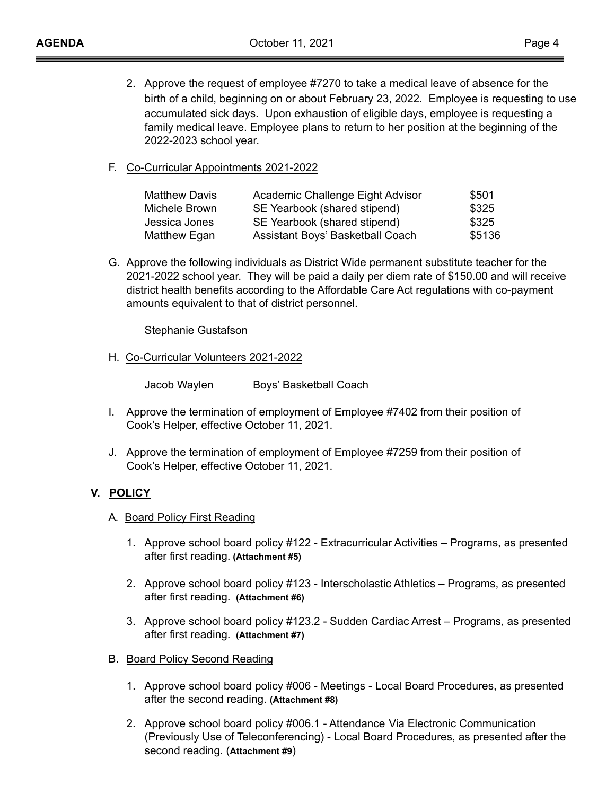- 2. Approve the request of employee #7270 to take a medical leave of absence for the birth of a child, beginning on or about February 23, 2022. Employee is requesting to use accumulated sick days. Upon exhaustion of eligible days, employee is requesting a family medical leave. Employee plans to return to her position at the beginning of the 2022-2023 school year.
- F. Co-Curricular Appointments 2021-2022

| <b>Matthew Davis</b> | Academic Challenge Eight Advisor | \$501  |
|----------------------|----------------------------------|--------|
| Michele Brown        | SE Yearbook (shared stipend)     | \$325  |
| Jessica Jones        | SE Yearbook (shared stipend)     | \$325  |
| Matthew Egan         | Assistant Boys' Basketball Coach | \$5136 |

G. Approve the following individuals as District Wide permanent substitute teacher for the 2021-2022 school year. They will be paid a daily per diem rate of \$150.00 and will receive district health benefits according to the Affordable Care Act regulations with co-payment amounts equivalent to that of district personnel.

Stephanie Gustafson

H. Co-Curricular Volunteers 2021-2022

Jacob Waylen Boys' Basketball Coach

- I. Approve the termination of employment of Employee #7402 from their position of Cook's Helper, effective October 11, 2021.
- J. Approve the termination of employment of Employee #7259 from their position of Cook's Helper, effective October 11, 2021.

## **V. POLICY**

- A**.** Board Policy First Reading
	- 1. Approve school board policy #122 Extracurricular Activities Programs, as presented after first reading. **(Attachment #5)**
	- 2. Approve school board policy #123 Interscholastic Athletics Programs, as presented after first reading. **(Attachment #6)**
	- 3. Approve school board policy #123.2 Sudden Cardiac Arrest Programs, as presented after first reading. **(Attachment #7)**
- B. Board Policy Second Reading
	- 1. Approve school board policy #006 Meetings Local Board Procedures, as presented after the second reading. **(Attachment #8)**
	- 2. Approve school board policy #006.1 Attendance Via Electronic Communication (Previously Use of Teleconferencing) - Local Board Procedures, as presented after the second reading. (**Attachment #9**)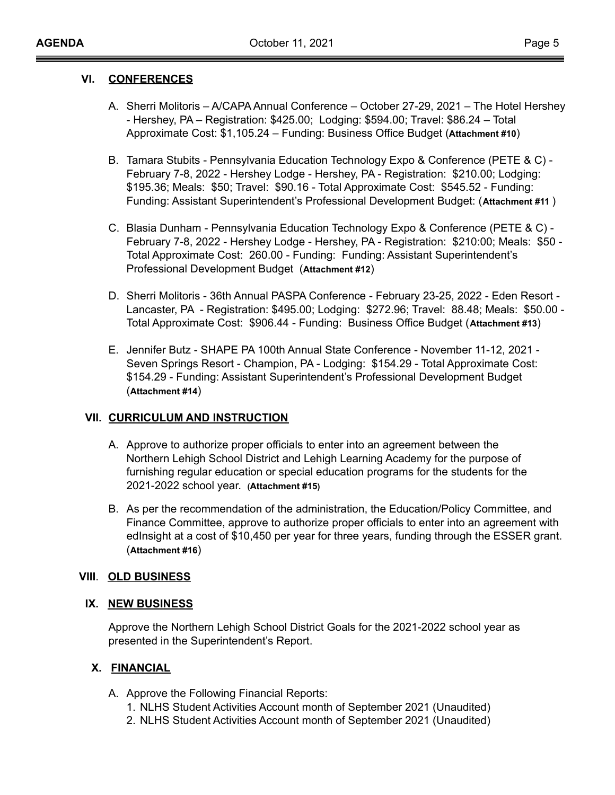#### **VI. CONFERENCES**

- A. Sherri Molitoris A/CAPA Annual Conference October 27-29, 2021 The Hotel Hershey - Hershey, PA – Registration: \$425.00; Lodging: \$594.00; Travel: \$86.24 – Total Approximate Cost: \$1,105.24 – Funding: Business Office Budget (**Attachment #10**)
- B. Tamara Stubits Pennsylvania Education Technology Expo & Conference (PETE & C) February 7-8, 2022 - Hershey Lodge - Hershey, PA - Registration: \$210.00; Lodging: \$195.36; Meals: \$50; Travel: \$90.16 - Total Approximate Cost: \$545.52 - Funding: Funding: Assistant Superintendent's Professional Development Budget: (**Attachment #11** )
- C. Blasia Dunham Pennsylvania Education Technology Expo & Conference (PETE & C) February 7-8, 2022 - Hershey Lodge - Hershey, PA - Registration: \$210:00; Meals: \$50 - Total Approximate Cost: 260.00 - Funding: Funding: Assistant Superintendent's Professional Development Budget (**Attachment #12**)
- D. Sherri Molitoris 36th Annual PASPA Conference February 23-25, 2022 Eden Resort Lancaster, PA - Registration: \$495.00; Lodging: \$272.96; Travel: 88.48; Meals: \$50.00 - Total Approximate Cost: \$906.44 - Funding: Business Office Budget (**Attachment #13**)
- E. Jennifer Butz SHAPE PA 100th Annual State Conference November 11-12, 2021 Seven Springs Resort - Champion, PA - Lodging: \$154.29 - Total Approximate Cost: \$154.29 - Funding: Assistant Superintendent's Professional Development Budget (**Attachment #14**)

## **VII. CURRICULUM AND INSTRUCTION**

- A. Approve to authorize proper officials to enter into an agreement between the Northern Lehigh School District and Lehigh Learning Academy for the purpose of furnishing regular education or special education programs for the students for the 2021-2022 school year. **(Attachment #15)**
- B. As per the recommendation of the administration, the Education/Policy Committee, and Finance Committee, approve to authorize proper officials to enter into an agreement with edInsight at a cost of \$10,450 per year for three years, funding through the ESSER grant. (**Attachment #16**)

## **VIII**. **OLD BUSINESS**

## **IX. NEW BUSINESS**

Approve the Northern Lehigh School District Goals for the 2021-2022 school year as presented in the Superintendent's Report.

# **X. FINANCIAL**

- A. Approve the Following Financial Reports:
	- 1. NLHS Student Activities Account month of September 2021 (Unaudited)
	- 2. NLHS Student Activities Account month of September 2021 (Unaudited)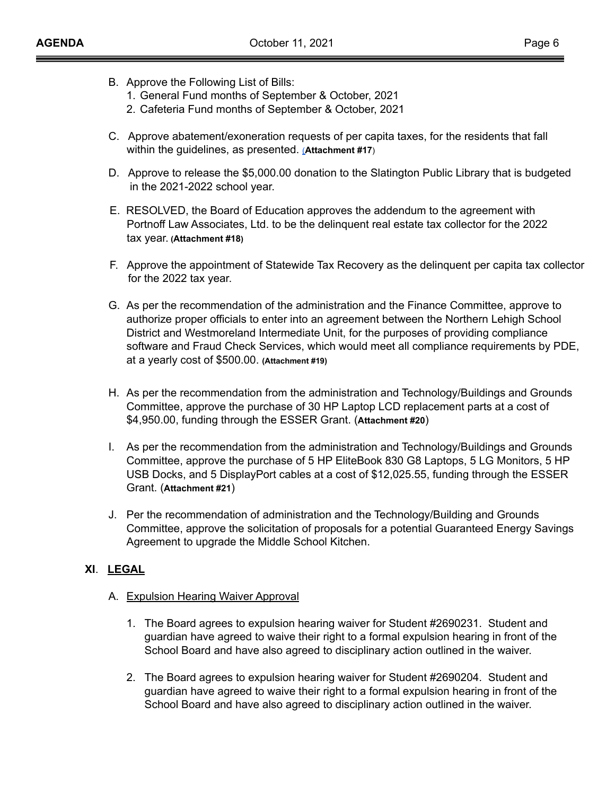- B. Approve the Following List of Bills:
	- 1. General Fund months of September & October, 2021
	- 2. Cafeteria Fund months of September & October, 2021
- C. Approve abatement/exoneration requests of per capita taxes, for the residents that fall within the guidelines, as presented. [\(](https://drive.google.com/open?id=0B0jiNnmPqXG4YWwyZEJXeFdia05rREpVc3I2S1A2OHBkbm84)**Attachment #17**)
- D. Approve to release the \$5,000.00 donation to the Slatington Public Library that is budgeted in the 2021-2022 school year.
- E. RESOLVED, the Board of Education approves the addendum to the agreement with Portnoff Law Associates, Ltd. to be the delinquent real estate tax collector for the 2022 tax year. **(Attachment #18)**
- F. Approve the appointment of Statewide Tax Recovery as the delinquent per capita tax collector for the 2022 tax year.
- G. As per the recommendation of the administration and the Finance Committee, approve to authorize proper officials to enter into an agreement between the Northern Lehigh School District and Westmoreland Intermediate Unit, for the purposes of providing compliance software and Fraud Check Services, which would meet all compliance requirements by PDE, at a yearly cost of \$500.00. **(Attachment #19)**
- H. As per the recommendation from the administration and Technology/Buildings and Grounds Committee, approve the purchase of 30 HP Laptop LCD replacement parts at a cost of \$4,950.00, funding through the ESSER Grant. (**Attachment #20**)
- I. As per the recommendation from the administration and Technology/Buildings and Grounds Committee, approve the purchase of 5 HP EliteBook 830 G8 Laptops, 5 LG Monitors, 5 HP USB Docks, and 5 DisplayPort cables at a cost of \$12,025.55, funding through the ESSER Grant. (**Attachment #21**)
- J. Per the recommendation of administration and the Technology/Building and Grounds Committee, approve the solicitation of proposals for a potential Guaranteed Energy Savings Agreement to upgrade the Middle School Kitchen.

# **XI**. **LEGAL**

## A. Expulsion Hearing Waiver Approval

- 1. The Board agrees to expulsion hearing waiver for Student #2690231. Student and guardian have agreed to waive their right to a formal expulsion hearing in front of the School Board and have also agreed to disciplinary action outlined in the waiver.
- 2. The Board agrees to expulsion hearing waiver for Student #2690204. Student and guardian have agreed to waive their right to a formal expulsion hearing in front of the School Board and have also agreed to disciplinary action outlined in the waiver.